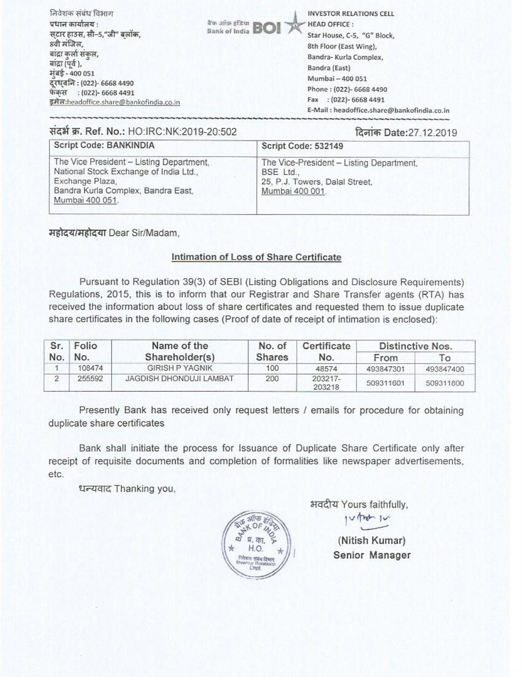| निवेशक संबंध विभाग                             | <b>INVESTOR RELATIONS CELL</b>             |
|------------------------------------------------|--------------------------------------------|
| प्रधान कार्यालय :                              | BOI<br><b>HEAD OFFICE:</b>                 |
| सटार हाउस, सी–5,"जी" बलॉक,                     | Star House, C-5, "G" Block,                |
| 8वी मंजिल,                                     | 8th Floor (East Wing),                     |
| बाद्रा कर्ला संकल,                             | Bandra- Kurla Complex,                     |
| बांद्रा (पूर्व),                               | Bandra (East)                              |
| मुंबई - 400 051<br>दूरध्वनि : (022)- 6668 4490 | Mumbai - 400 051                           |
| फेंकस : (022)- 6668 4491                       | Phone: (022)- 6668 4490                    |
| इमेल:headoffice.share@bankofindia.co.in        | Fax : (022)- 6668 4491                     |
|                                                | E-Mail: headoffice.share@bankofindia.co.in |

## ItCat W. Ref. No.: HO:IRC:NK:2019-20:502 Date:27.12.2019

| Script Code: BANKINDIA                                                                                                                                         | Script Code: 532149                                                                                        |
|----------------------------------------------------------------------------------------------------------------------------------------------------------------|------------------------------------------------------------------------------------------------------------|
| The Vice President - Listing Department,<br>National Stock Exchange of India Ltd.,<br>Exchange Plaza,<br>Bandra Kurla Complex, Bandra East,<br>Mumbai 400 051. | The Vice-President - Listing Department,<br>BSE Ltd.,<br>25, P.J. Towers, Dalal Street,<br>Mumbai 400 001. |

महोदय/महोदया Dear Sir/Madam,

## Intimation of Loss of Share Certificate

Pursuant to Regulation 39(3) of SEBI (Listing Obligations and Disclosure Requirements) Regulations, 2015, this is to inform that our Registrar and Share Transfer agents (RTA) has received the information about loss of share certificates and requested them to issue duplicate share certificates in the following cases (Proof of date of receipt of intimation is enclosed):

| No. | Folio  | Name of the             | No. of<br><b>Shares</b> | Certificate<br>No. | Distinctive Nos. |           |
|-----|--------|-------------------------|-------------------------|--------------------|------------------|-----------|
|     | No.    | Shareholder(s)          |                         |                    | From             | l o       |
|     | 108474 | <b>GIRISH P YAGNIK</b>  | 100                     | 48574              | 493847301        | 493847400 |
|     | 255592 | JAGDISH DHONDUJI LAMBAT | 200                     | 203217-<br>203218  | 509311601        | 509311800 |

Presently Bank has received only request letters / emails for procedure for obtaining duplicate share certificates

Bank shall initiate the process for Issuance of Duplicate Share Certificate only after receipt of requisite documents and completion of formalities like newspaper advertisements, etc.

धन्यवाद Thanking you,



भवदीय Yours faithfully,

(Nitish Kumar) Senior Manager

 $v$  $int v$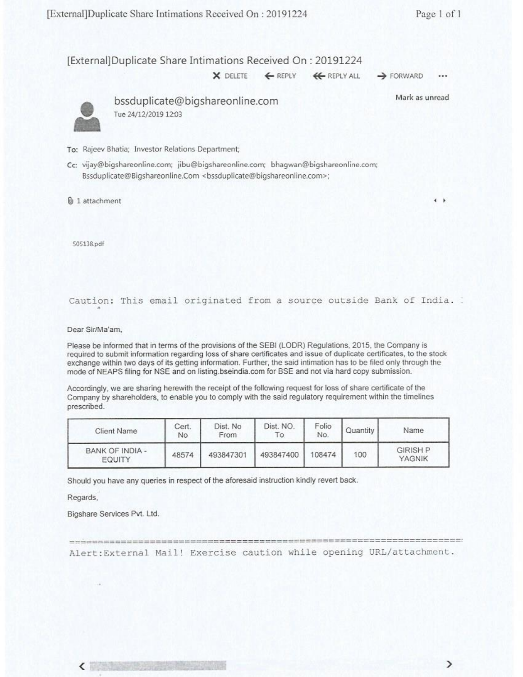[External]Duplicate Share Intimations Received On: 20191224

**<sup>X</sup>**DELETE €REPLY 4€REPLY ALL **4** FORWARD

...



bssduplicate@bigshareonline.com Tue 24/12/2019 12:03

Mark as unread

**4** 

- To: Rajeev Bhatia; Investor Relations Department;
- Cc: vijay@bigsharconline.com; jibugbigsharconline.com; bhagwan@bigshareonline.com; Bssduplicate@Bigshareonline.Com <bssduplicate@bigshareonline.com>;
- @, 1 attachment

505138.pdf

## Caution: This email originated from a source outside Bank of India. .

Dear Sir/Ma'am,

Please be informed that in terms of the provisions of the SEBI (LODR) Regulations. 2015. the Company is required to submit information regarding loss of share certificates and issue of duplicate certificates, to the stock exchange within two days of its getting information. Further, the said intimation has to be filed only through the mode of NEAPS filing for NSE and on listing.bseindia.com for BSE and not via hard copy submission.

Accordingly, we are sharing herewith the receipt of the following request for loss of share certificate of the Company by shareholders, to enable you to comply with the said regulatory requirement within the timelines prescribed.

| Client Name                      | Cert.<br>No | Dist. No<br>From | Dist. NO.<br>۰o | Folio<br>No. | Quantity | Name                      |
|----------------------------------|-------------|------------------|-----------------|--------------|----------|---------------------------|
| BANK OF INDIA -<br><b>EQUITY</b> | 48574       | 493847301        | 493847400       | 108474       | 100      | <b>GIRISH P</b><br>YAGNIK |

Should you have any queries in respect of the aforesaid instruction kindly revert back.

Regards.

Bigshare Services Pvt. Ltd.

Alert:External Mail! Exercise caution while opening URL/attachment.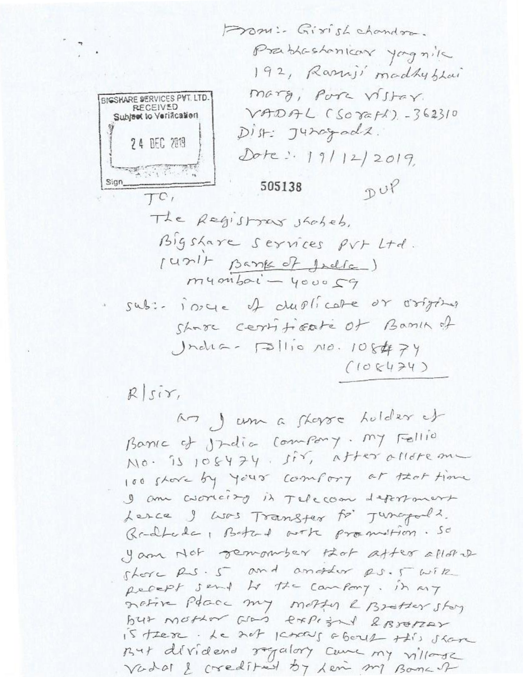an J um a shorre holder of Barrie of India Company. My Fellio  $N10.5106474.557,$   $A$ tter allore an 100 shore by your comfort of that time I am correct by it Telecom deportment Lesce I was Transfer to Jusepals. Realtoda, Batal arte promotion. So your Not remomber that after allow shore Rs. 5 and another RS.5 with pecept sent to the cambony. in my native Pacic my mother & Brotter story but mother was experted 2 Broker is there. Le not percent about this share But dividend regalory came my village Vadal & credited by Lem ml Bonch